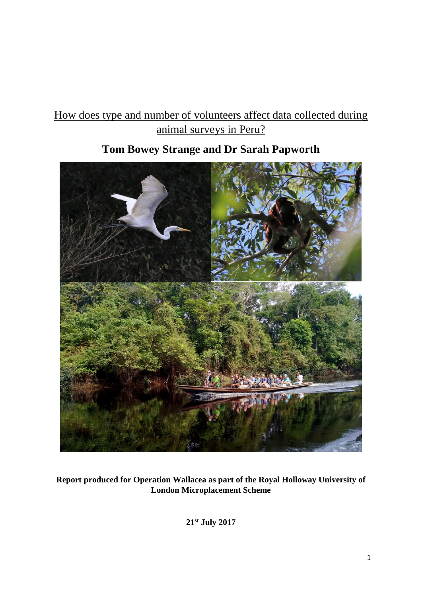# How does type and number of volunteers affect data collected during animal surveys in Peru?

# **Tom Bowey Strange and Dr Sarah Papworth**



**Report produced for Operation Wallacea as part of the Royal Holloway University of London Microplacement Scheme**

**21st July 2017**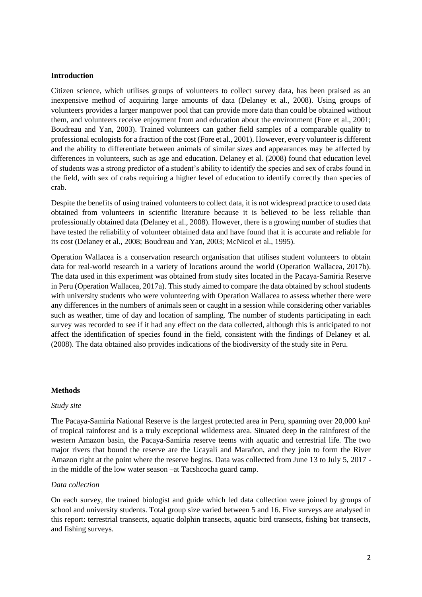#### **Introduction**

Citizen science, which utilises groups of volunteers to collect survey data, has been praised as an inexpensive method of acquiring large amounts of data (Delaney et al., 2008). Using groups of volunteers provides a larger manpower pool that can provide more data than could be obtained without them, and volunteers receive enjoyment from and education about the environment (Fore et al., 2001; Boudreau and Yan, 2003). Trained volunteers can gather field samples of a comparable quality to professional ecologists for a fraction of the cost (Fore et al., 2001). However, every volunteer is different and the ability to differentiate between animals of similar sizes and appearances may be affected by differences in volunteers, such as age and education. Delaney et al. (2008) found that education level of students was a strong predictor of a student's ability to identify the species and sex of crabs found in the field, with sex of crabs requiring a higher level of education to identify correctly than species of crab.

Despite the benefits of using trained volunteers to collect data, it is not widespread practice to used data obtained from volunteers in scientific literature because it is believed to be less reliable than professionally obtained data (Delaney et al., 2008). However, there is a growing number of studies that have tested the reliability of volunteer obtained data and have found that it is accurate and reliable for its cost (Delaney et al., 2008; Boudreau and Yan, 2003; McNicol et al., 1995).

Operation Wallacea is a conservation research organisation that utilises student volunteers to obtain data for real-world research in a variety of locations around the world (Operation Wallacea, 2017b). The data used in this experiment was obtained from study sites located in the Pacaya-Samiria Reserve in Peru (Operation Wallacea, 2017a). This study aimed to compare the data obtained by school students with university students who were volunteering with Operation Wallacea to assess whether there were any differences in the numbers of animals seen or caught in a session while considering other variables such as weather, time of day and location of sampling. The number of students participating in each survey was recorded to see if it had any effect on the data collected, although this is anticipated to not affect the identification of species found in the field, consistent with the findings of Delaney et al. (2008). The data obtained also provides indications of the biodiversity of the study site in Peru.

#### **Methods**

#### *Study site*

The Pacaya-Samiria National Reserve is the largest protected area in Peru, spanning over 20,000 km<sup>2</sup> of tropical rainforest and is a truly exceptional wilderness area. Situated deep in the rainforest of the western Amazon basin, the Pacaya-Samiria reserve teems with aquatic and terrestrial life. The two major rivers that bound the reserve are the Ucayali and Marañon, and they join to form the River Amazon right at the point where the reserve begins. Data was collected from June 13 to July 5, 2017 in the middle of the low water season –at Tacshcocha guard camp.

### *Data collection*

On each survey, the trained biologist and guide which led data collection were joined by groups of school and university students. Total group size varied between 5 and 16. Five surveys are analysed in this report: terrestrial transects, aquatic dolphin transects, aquatic bird transects, fishing bat transects, and fishing surveys.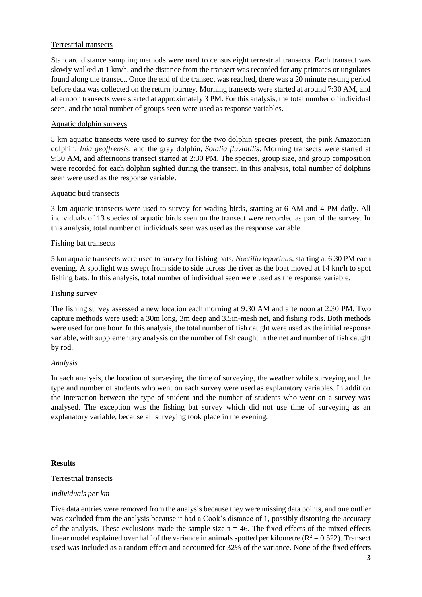## Terrestrial transects

Standard distance sampling methods were used to census eight terrestrial transects. Each transect was slowly walked at 1 km/h, and the distance from the transect was recorded for any primates or ungulates found along the transect. Once the end of the transect was reached, there was a 20 minute resting period before data was collected on the return journey. Morning transects were started at around 7:30 AM, and afternoon transects were started at approximately 3 PM. For this analysis, the total number of individual seen, and the total number of groups seen were used as response variables.

### Aquatic dolphin surveys

5 km aquatic transects were used to survey for the two dolphin species present, the pink Amazonian dolphin, *Inia geoffrensis,* and the gray dolphin, *Sotalia fluviatilis*. Morning transects were started at 9:30 AM, and afternoons transect started at 2:30 PM. The species, group size, and group composition were recorded for each dolphin sighted during the transect. In this analysis, total number of dolphins seen were used as the response variable.

### Aquatic bird transects

3 km aquatic transects were used to survey for wading birds, starting at 6 AM and 4 PM daily. All individuals of 13 species of aquatic birds seen on the transect were recorded as part of the survey. In this analysis, total number of individuals seen was used as the response variable.

## Fishing bat transects

5 km aquatic transects were used to survey for fishing bats, *Noctilio leporinus*, starting at 6:30 PM each evening. A spotlight was swept from side to side across the river as the boat moved at 14 km/h to spot fishing bats. In this analysis, total number of individual seen were used as the response variable.

## Fishing survey

The fishing survey assessed a new location each morning at 9:30 AM and afternoon at 2:30 PM. Two capture methods were used: a 30m long, 3m deep and 3.5in-mesh net, and fishing rods. Both methods were used for one hour. In this analysis, the total number of fish caught were used as the initial response variable, with supplementary analysis on the number of fish caught in the net and number of fish caught by rod.

### *Analysis*

In each analysis, the location of surveying, the time of surveying, the weather while surveying and the type and number of students who went on each survey were used as explanatory variables. In addition the interaction between the type of student and the number of students who went on a survey was analysed. The exception was the fishing bat survey which did not use time of surveying as an explanatory variable, because all surveying took place in the evening.

### **Results**

### Terrestrial transects

### *Individuals per km*

Five data entries were removed from the analysis because they were missing data points, and one outlier was excluded from the analysis because it had a Cook's distance of 1, possibly distorting the accuracy of the analysis. These exclusions made the sample size  $n = 46$ . The fixed effects of the mixed effects linear model explained over half of the variance in animals spotted per kilometre ( $R^2 = 0.522$ ). Transect used was included as a random effect and accounted for 32% of the variance. None of the fixed effects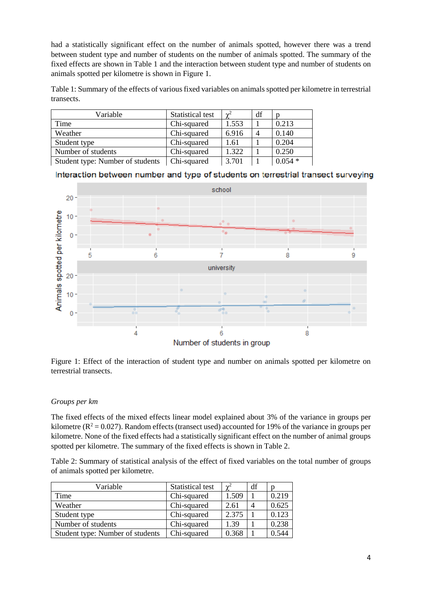had a statistically significant effect on the number of animals spotted, however there was a trend between student type and number of students on the number of animals spotted. The summary of the fixed effects are shown in Table 1 and the interaction between student type and number of students on animals spotted per kilometre is shown in Figure 1.

Table 1: Summary of the effects of various fixed variables on animals spotted per kilometre in terrestrial transects.

| Variable                         | Statistical test | $\gamma^2$ | df |          |
|----------------------------------|------------------|------------|----|----------|
| Time                             | Chi-squared      | 1.553      |    | 0.213    |
| Weather                          | Chi-squared      | 6.916      |    | 0.140    |
| Student type                     | Chi-squared      | 1.61       |    | 0.204    |
| Number of students               | Chi-squared      | 1.322      |    | 0.250    |
| Student type: Number of students | Chi-squared      | 3.701      |    | $0.054*$ |

Interaction between number and type of students on terrestrial transect surveying



Figure 1: Effect of the interaction of student type and number on animals spotted per kilometre on terrestrial transects.

## *Groups per km*

The fixed effects of the mixed effects linear model explained about 3% of the variance in groups per kilometre ( $R^2 = 0.027$ ). Random effects (transect used) accounted for 19% of the variance in groups per kilometre. None of the fixed effects had a statistically significant effect on the number of animal groups spotted per kilometre. The summary of the fixed effects is shown in Table 2.

Table 2: Summary of statistical analysis of the effect of fixed variables on the total number of groups of animals spotted per kilometre.

| Variable                         | Statistical test | $\mathbf{v}^2$ | df |       |
|----------------------------------|------------------|----------------|----|-------|
| Time                             | Chi-squared      | 1.509          |    | 0.219 |
| Weather                          | Chi-squared      | 2.61           | 4  | 0.625 |
| Student type                     | Chi-squared      | 2.375          |    | 0.123 |
| Number of students               | Chi-squared      | 1.39           |    | 0.238 |
| Student type: Number of students | Chi-squared      | 0.368          |    | 0.544 |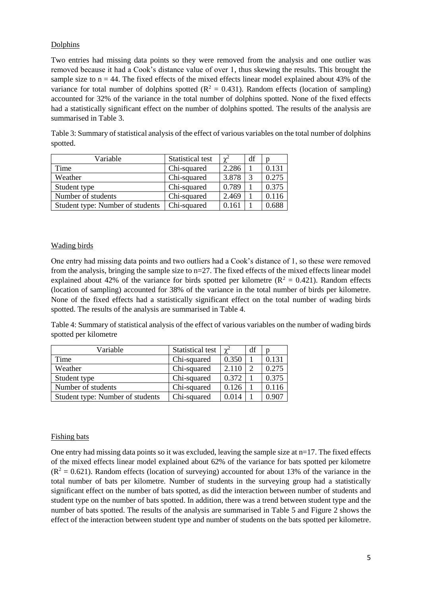## Dolphins

Two entries had missing data points so they were removed from the analysis and one outlier was removed because it had a Cook's distance value of over 1, thus skewing the results. This brought the sample size to  $n = 44$ . The fixed effects of the mixed effects linear model explained about 43% of the variance for total number of dolphins spotted ( $R^2 = 0.431$ ). Random effects (location of sampling) accounted for 32% of the variance in the total number of dolphins spotted. None of the fixed effects had a statistically significant effect on the number of dolphins spotted. The results of the analysis are summarised in Table 3.

| Variable                         | Statistical test | $\gamma^2$ | df | n     |
|----------------------------------|------------------|------------|----|-------|
| Time                             | Chi-squared      | 2.286      |    | 0.131 |
| Weather                          | Chi-squared      | 3.878      |    | 0.275 |
| Student type                     | Chi-squared      | 0.789      |    | 0.375 |
| Number of students               | Chi-squared      | 2.469      |    | 0.116 |
| Student type: Number of students | Chi-squared      | 0.161      |    | 0.688 |

Table 3: Summary of statistical analysis of the effect of various variables on the total number of dolphins spotted.

#### Wading birds

One entry had missing data points and two outliers had a Cook's distance of 1, so these were removed from the analysis, bringing the sample size to n=27. The fixed effects of the mixed effects linear model explained about 42% of the variance for birds spotted per kilometre ( $R^2 = 0.421$ ). Random effects (location of sampling) accounted for 38% of the variance in the total number of birds per kilometre. None of the fixed effects had a statistically significant effect on the total number of wading birds spotted. The results of the analysis are summarised in Table 4.

Table 4: Summary of statistical analysis of the effect of various variables on the number of wading birds spotted per kilometre

| Variable                         | Statistical test | $\mathbf{v}^2$ | df |                |
|----------------------------------|------------------|----------------|----|----------------|
| Time                             | Chi-squared      | 0.350          |    | 0.131          |
| Weather                          | Chi-squared      | 2.110          |    | 0.275          |
| Student type                     | Chi-squared      | 0.372          |    | 0.375          |
| Number of students               | Chi-squared      | 0.126          |    | 0.116          |
| Student type: Number of students | Chi-squared      | 0.014          |    | $0.90^{\circ}$ |

### Fishing bats

One entry had missing data points so it was excluded, leaving the sample size at  $n=17$ . The fixed effects of the mixed effects linear model explained about 62% of the variance for bats spotted per kilometre  $(R^2 = 0.621)$ . Random effects (location of surveying) accounted for about 13% of the variance in the total number of bats per kilometre. Number of students in the surveying group had a statistically significant effect on the number of bats spotted, as did the interaction between number of students and student type on the number of bats spotted. In addition, there was a trend between student type and the number of bats spotted. The results of the analysis are summarised in Table 5 and Figure 2 shows the effect of the interaction between student type and number of students on the bats spotted per kilometre.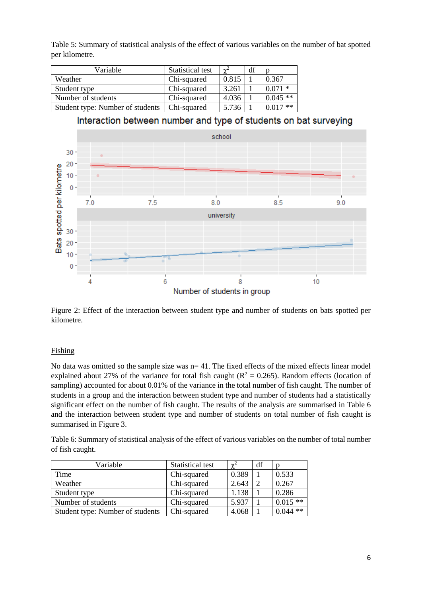Table 5: Summary of statistical analysis of the effect of various variables on the number of bat spotted per kilometre.

| Variable                         | <b>Statistical test</b> | $\sim^2$ | df |           |
|----------------------------------|-------------------------|----------|----|-----------|
| Weather                          | Chi-squared             | 0.815    |    | 0.367     |
| Student type                     | Chi-squared             | 3.261    |    | $0.071*$  |
| Number of students               | Chi-squared             | 4.036    |    | $0.045**$ |
| Student type: Number of students | Chi-squared             | 5.736    |    | $0.017**$ |

Interaction between number and type of students on bat surveying



Figure 2: Effect of the interaction between student type and number of students on bats spotted per kilometre.

## Fishing

No data was omitted so the sample size was  $n= 41$ . The fixed effects of the mixed effects linear model explained about 27% of the variance for total fish caught ( $R^2 = 0.265$ ). Random effects (location of sampling) accounted for about 0.01% of the variance in the total number of fish caught. The number of students in a group and the interaction between student type and number of students had a statistically significant effect on the number of fish caught. The results of the analysis are summarised in Table 6 and the interaction between student type and number of students on total number of fish caught is summarised in Figure 3.

Table 6: Summary of statistical analysis of the effect of various variables on the number of total number of fish caught.

| Variable                         | Statistical test | $\gamma^2$ | df |           |
|----------------------------------|------------------|------------|----|-----------|
| Time                             | Chi-squared      | 0.389      |    | 0.533     |
| Weather                          | Chi-squared      | 2.643      |    | 0.267     |
| Student type                     | Chi-squared      | 1.138      |    | 0.286     |
| Number of students               | Chi-squared      | 5.937      |    | $0.015**$ |
| Student type: Number of students | Chi-squared      | 4.068      |    | $0.044**$ |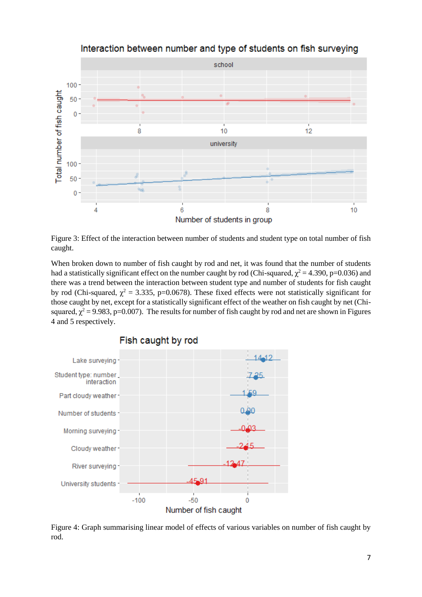

Interaction between number and type of students on fish surveying

Figure 3: Effect of the interaction between number of students and student type on total number of fish caught.

When broken down to number of fish caught by rod and net, it was found that the number of students had a statistically significant effect on the number caught by rod (Chi-squared,  $\chi^2$  = 4.390, p=0.036) and there was a trend between the interaction between student type and number of students for fish caught by rod (Chi-squared,  $\chi^2 = 3.335$ , p=0.0678). These fixed effects were not statistically significant for those caught by net, except for a statistically significant effect of the weather on fish caught by net (Chisquared,  $\chi^2$  = 9.983, p=0.007). The results for number of fish caught by rod and net are shown in Figures 4 and 5 respectively.



Fish caught by rod

Figure 4: Graph summarising linear model of effects of various variables on number of fish caught by rod.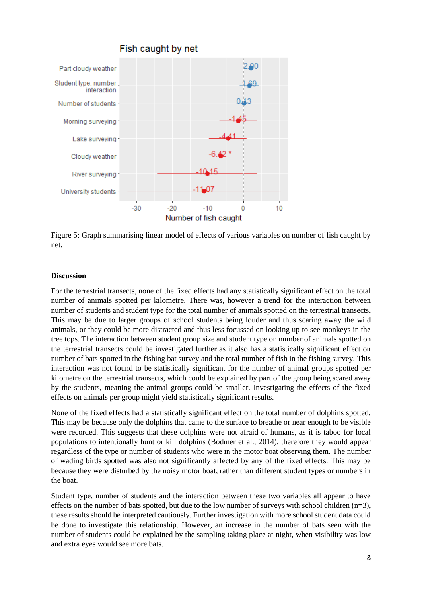

Figure 5: Graph summarising linear model of effects of various variables on number of fish caught by net.

#### **Discussion**

For the terrestrial transects, none of the fixed effects had any statistically significant effect on the total number of animals spotted per kilometre. There was, however a trend for the interaction between number of students and student type for the total number of animals spotted on the terrestrial transects. This may be due to larger groups of school students being louder and thus scaring away the wild animals, or they could be more distracted and thus less focussed on looking up to see monkeys in the tree tops. The interaction between student group size and student type on number of animals spotted on the terrestrial transects could be investigated further as it also has a statistically significant effect on number of bats spotted in the fishing bat survey and the total number of fish in the fishing survey. This interaction was not found to be statistically significant for the number of animal groups spotted per kilometre on the terrestrial transects, which could be explained by part of the group being scared away by the students, meaning the animal groups could be smaller. Investigating the effects of the fixed effects on animals per group might yield statistically significant results.

None of the fixed effects had a statistically significant effect on the total number of dolphins spotted. This may be because only the dolphins that came to the surface to breathe or near enough to be visible were recorded. This suggests that these dolphins were not afraid of humans, as it is taboo for local populations to intentionally hunt or kill dolphins (Bodmer et al., 2014), therefore they would appear regardless of the type or number of students who were in the motor boat observing them. The number of wading birds spotted was also not significantly affected by any of the fixed effects. This may be because they were disturbed by the noisy motor boat, rather than different student types or numbers in the boat.

Student type, number of students and the interaction between these two variables all appear to have effects on the number of bats spotted, but due to the low number of surveys with school children  $(n=3)$ , these results should be interpreted cautiously. Further investigation with more school student data could be done to investigate this relationship. However, an increase in the number of bats seen with the number of students could be explained by the sampling taking place at night, when visibility was low and extra eyes would see more bats.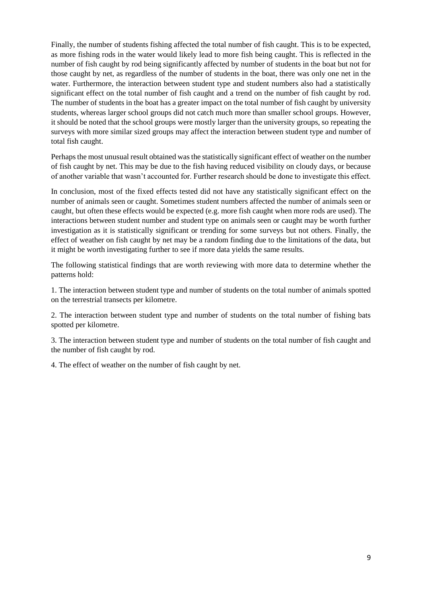Finally, the number of students fishing affected the total number of fish caught. This is to be expected, as more fishing rods in the water would likely lead to more fish being caught. This is reflected in the number of fish caught by rod being significantly affected by number of students in the boat but not for those caught by net, as regardless of the number of students in the boat, there was only one net in the water. Furthermore, the interaction between student type and student numbers also had a statistically significant effect on the total number of fish caught and a trend on the number of fish caught by rod. The number of students in the boat has a greater impact on the total number of fish caught by university students, whereas larger school groups did not catch much more than smaller school groups. However, it should be noted that the school groups were mostly larger than the university groups, so repeating the surveys with more similar sized groups may affect the interaction between student type and number of total fish caught.

Perhaps the most unusual result obtained was the statistically significant effect of weather on the number of fish caught by net. This may be due to the fish having reduced visibility on cloudy days, or because of another variable that wasn't accounted for. Further research should be done to investigate this effect.

In conclusion, most of the fixed effects tested did not have any statistically significant effect on the number of animals seen or caught. Sometimes student numbers affected the number of animals seen or caught, but often these effects would be expected (e.g. more fish caught when more rods are used). The interactions between student number and student type on animals seen or caught may be worth further investigation as it is statistically significant or trending for some surveys but not others. Finally, the effect of weather on fish caught by net may be a random finding due to the limitations of the data, but it might be worth investigating further to see if more data yields the same results.

The following statistical findings that are worth reviewing with more data to determine whether the patterns hold:

1. The interaction between student type and number of students on the total number of animals spotted on the terrestrial transects per kilometre.

2. The interaction between student type and number of students on the total number of fishing bats spotted per kilometre.

3. The interaction between student type and number of students on the total number of fish caught and the number of fish caught by rod.

4. The effect of weather on the number of fish caught by net.